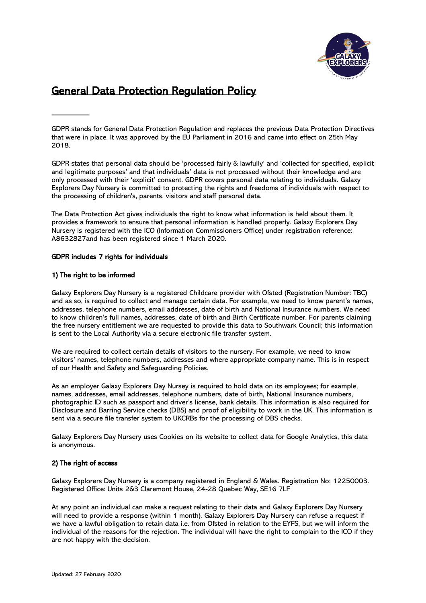

# General Data Protection Regulation Policy

GDPR stands for General Data Protection Regulation and replaces the previous Data Protection Directives that were in place. It was approved by the EU Parliament in 2016 and came into effect on 25th May 2018.

GDPR states that personal data should be 'processed fairly & lawfully' and 'collected for specified, explicit and legitimate purposes' and that individuals' data is not processed without their knowledge and are only processed with their 'explicit' consent. GDPR covers personal data relating to individuals. Galaxy Explorers Day Nursery is committed to protecting the rights and freedoms of individuals with respect to the processing of children's, parents, visitors and staff personal data.

The Data Protection Act gives individuals the right to know what information is held about them. It provides a framework to ensure that personal information is handled properly. Galaxy Explorers Day Nursery is registered with the ICO (Information Commissioners Office) under registration reference: A8632827and has been registered since 1 March 2020.

## GDPR includes 7 rights for individuals

## 1) The right to be informed

Galaxy Explorers Day Nursery is a registered Childcare provider with Ofsted (Registration Number: TBC) and as so, is required to collect and manage certain data. For example, we need to know parent's names, addresses, telephone numbers, email addresses, date of birth and National Insurance numbers. We need to know children's full names, addresses, date of birth and Birth Certificate number. For parents claiming the free nursery entitlement we are requested to provide this data to Southwark Council; this information is sent to the Local Authority via a secure electronic file transfer system.

We are required to collect certain details of visitors to the nursery. For example, we need to know visitors' names, telephone numbers, addresses and where appropriate company name. This is in respect of our Health and Safety and Safeguarding Policies.

As an employer Galaxy Explorers Day Nursey is required to hold data on its employees; for example, names, addresses, email addresses, telephone numbers, date of birth, National Insurance numbers, photographic ID such as passport and driver's license, bank details. This information is also required for Disclosure and Barring Service checks (DBS) and proof of eligibility to work in the UK. This information is sent via a secure file transfer system to UKCRBs for the processing of DBS checks.

Galaxy Explorers Day Nursery uses Cookies on its website to collect data for Google Analytics, this data is anonymous.

## 2) The right of access

Galaxy Explorers Day Nursery is a company registered in England & Wales. Registration No: 12250003. Registered Office: Units 2&3 Claremont House, 24-28 Quebec Way, SE16 7LF

At any point an individual can make a request relating to their data and Galaxy Explorers Day Nursery will need to provide a response (within 1 month). Galaxy Explorers Day Nursery can refuse a request if we have a lawful obligation to retain data i.e. from Ofsted in relation to the EYFS, but we will inform the individual of the reasons for the rejection. The individual will have the right to complain to the ICO if they are not happy with the decision.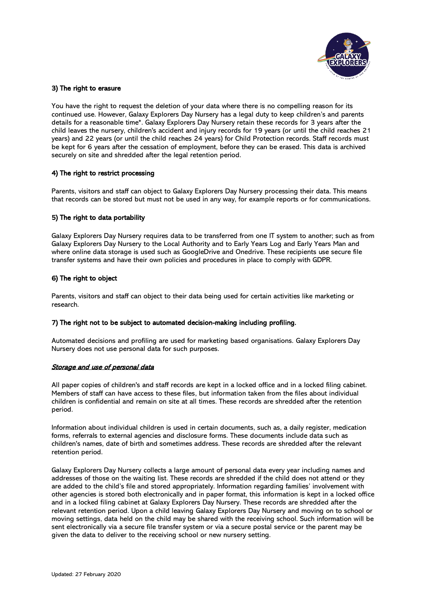

## 3) The right to erasure

You have the right to request the deletion of your data where there is no compelling reason for its continued use. However, Galaxy Explorers Day Nursery has a legal duty to keep children's and parents details for a reasonable time\*. Galaxy Explorers Day Nursery retain these records for 3 years after the child leaves the nursery, children's accident and injury records for 19 years (or until the child reaches 21 years) and 22 years (or until the child reaches 24 years) for Child Protection records. Staff records must be kept for 6 years after the cessation of employment, before they can be erased. This data is archived securely on site and shredded after the legal retention period.

# 4) The right to restrict processing

Parents, visitors and staff can object to Galaxy Explorers Day Nursery processing their data. This means that records can be stored but must not be used in any way, for example reports or for communications.

## 5) The right to data portability

Galaxy Explorers Day Nursery requires data to be transferred from one IT system to another; such as from Galaxy Explorers Day Nursery to the Local Authority and to Early Years Log and Early Years Man and where online data storage is used such as GoogleDrive and Onedrive. These recipients use secure file transfer systems and have their own policies and procedures in place to comply with GDPR.

# 6) The right to object

Parents, visitors and staff can object to their data being used for certain activities like marketing or research.

## 7) The right not to be subject to automated decision-making including profiling.

Automated decisions and profiling are used for marketing based organisations. Galaxy Explorers Day Nursery does not use personal data for such purposes.

## Storage and use of personal data

All paper copies of children's and staff records are kept in a locked office and in a locked filing cabinet. Members of staff can have access to these files, but information taken from the files about individual children is confidential and remain on site at all times. These records are shredded after the retention period.

Information about individual children is used in certain documents, such as, a daily register, medication forms, referrals to external agencies and disclosure forms. These documents include data such as children's names, date of birth and sometimes address. These records are shredded after the relevant retention period.

Galaxy Explorers Day Nursery collects a large amount of personal data every year including names and addresses of those on the waiting list. These records are shredded if the child does not attend or they are added to the child's file and stored appropriately. Information regarding families' involvement with other agencies is stored both electronically and in paper format, this information is kept in a locked office and in a locked filing cabinet at Galaxy Explorers Day Nursery. These records are shredded after the relevant retention period. Upon a child leaving Galaxy Explorers Day Nursery and moving on to school or moving settings, data held on the child may be shared with the receiving school. Such information will be sent electronically via a secure file transfer system or via a secure postal service or the parent may be given the data to deliver to the receiving school or new nursery setting.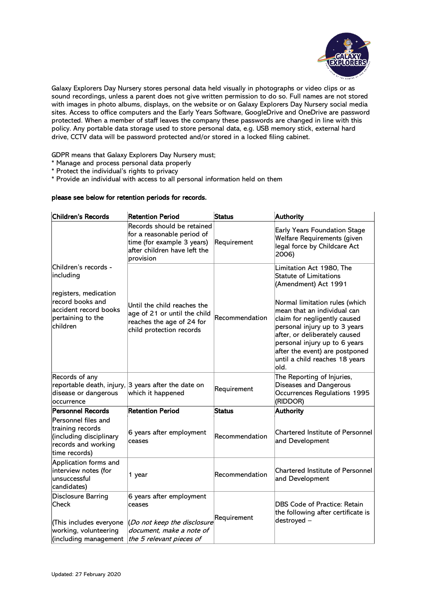

Galaxy Explorers Day Nursery stores personal data held visually in photographs or video clips or as sound recordings, unless a parent does not give written permission to do so. Full names are not stored with images in photo albums, displays, on the website or on Galaxy Explorers Day Nursery social media sites. Access to office computers and the Early Years Software, GoogleDrive and OneDrive are password protected. When a member of staff leaves the company these passwords are changed in line with this policy. Any portable data storage used to store personal data, e.g. USB memory stick, external hard drive, CCTV data will be password protected and/or stored in a locked filing cabinet.

GDPR means that Galaxy Explorers Day Nursery must;

- \* Manage and process personal data properly
- \* Protect the individual's rights to privacy

\* Provide an individual with access to all personal information held on them

# please see below for retention periods for records.

| <b>Children's Records</b>                                                                                                                | <b>Retention Period</b>                                                                                                             | <b>Status</b>  | <b>Authority</b>                                                                                                                                                                                                                                                                                                                                                  |
|------------------------------------------------------------------------------------------------------------------------------------------|-------------------------------------------------------------------------------------------------------------------------------------|----------------|-------------------------------------------------------------------------------------------------------------------------------------------------------------------------------------------------------------------------------------------------------------------------------------------------------------------------------------------------------------------|
|                                                                                                                                          | Records should be retained<br>for a reasonable period of<br>time (for example 3 years)<br>after children have left the<br>provision | Requirement    | Early Years Foundation Stage<br>Welfare Requirements (given<br>legal force by Childcare Act<br>2006)                                                                                                                                                                                                                                                              |
| Children's records -<br>including<br>registers, medication<br>record books and<br>accident record books<br>pertaining to the<br>children | Until the child reaches the<br>age of 21 or until the child<br>reaches the age of 24 for<br>child protection records                | Recommendation | Limitation Act 1980, The<br><b>Statute of Limitations</b><br>(Amendment) Act 1991<br>Normal limitation rules (which<br>mean that an individual can<br>claim for negligently caused<br>personal injury up to 3 years<br>after, or deliberately caused<br>personal injury up to 6 years<br>after the event) are postponed<br>until a child reaches 18 years<br>old. |
| Records of any<br>disease or dangerous<br>occurrence                                                                                     | reportable death, injury, 3 years after the date on<br>which it happened                                                            | Requirement    | The Reporting of Injuries,<br>Diseases and Dangerous<br>Occurrences Regulations 1995<br>(RIDDOR)                                                                                                                                                                                                                                                                  |
| <b>Personnel Records</b>                                                                                                                 | <b>Retention Period</b>                                                                                                             | <b>Status</b>  | <b>Authority</b>                                                                                                                                                                                                                                                                                                                                                  |
| Personnel files and<br>training records<br>(including disciplinary<br>records and working<br>time records)                               | 6 years after employment<br>ceases                                                                                                  | Recommendation | <b>Chartered Institute of Personnel</b><br>and Development                                                                                                                                                                                                                                                                                                        |
| Application forms and<br>interview notes (for<br>unsuccessful<br>candidates)                                                             | 1 year                                                                                                                              | Recommendation | Chartered Institute of Personnel<br>and Development                                                                                                                                                                                                                                                                                                               |
| <b>Disclosure Barring</b><br>Check<br>(This includes everyone<br>working, volunteering<br>(including management                          | 6 years after employment<br>ceases<br>(Do not keep the disclosure<br>document, make a note of<br>the 5 relevant pieces of           | Requirement    | <b>DBS Code of Practice: Retain</b><br>the following after certificate is<br>destroyed -                                                                                                                                                                                                                                                                          |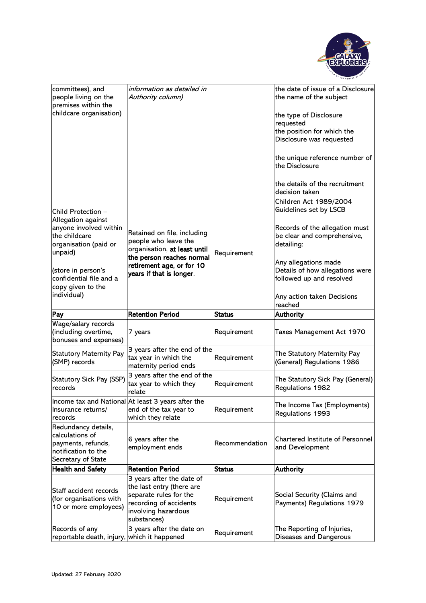

| committees), and<br>people living on the<br>premises within the<br>childcare organisation)                | information as detailed in<br>Authority column)                                                                                                                           |                | the date of issue of a Disclosure<br>the name of the subject<br>the type of Disclosure<br>requested<br>the position for which the<br>Disclosure was requested |
|-----------------------------------------------------------------------------------------------------------|---------------------------------------------------------------------------------------------------------------------------------------------------------------------------|----------------|---------------------------------------------------------------------------------------------------------------------------------------------------------------|
|                                                                                                           |                                                                                                                                                                           |                | the unique reference number of<br>the Disclosure<br>the details of the recruitment                                                                            |
| Child Protection –<br>Allegation against                                                                  |                                                                                                                                                                           |                | decision taken<br>Children Act 1989/2004<br>Guidelines set by LSCB                                                                                            |
| anyone involved within<br>the childcare<br>organisation (paid or<br>unpaid)                               | Retained on file, including<br>people who leave the<br>organisation, at least until<br>the person reaches normal<br>retirement age, or for 10<br>years if that is longer. | Requirement    | Records of the allegation must<br>be clear and comprehensive,<br>detailing:                                                                                   |
| (store in person's<br>confidential file and a<br>copy given to the<br>individual)                         |                                                                                                                                                                           |                | Any allegations made<br>Details of how allegations were<br>followed up and resolved<br>Any action taken Decisions                                             |
|                                                                                                           |                                                                                                                                                                           |                | reached                                                                                                                                                       |
| Pay                                                                                                       | <b>Retention Period</b>                                                                                                                                                   | <b>Status</b>  | Authority                                                                                                                                                     |
| Wage/salary records<br>(including overtime,<br>bonuses and expenses)                                      | 7 years                                                                                                                                                                   | Requirement    | Taxes Management Act 1970                                                                                                                                     |
| <b>Statutory Maternity Pay</b><br>(SMP) records                                                           | 3 years after the end of the<br>tax year in which the<br>maternity period ends                                                                                            | Requirement    | The Statutory Maternity Pay<br>(General) Regulations 1986                                                                                                     |
| <b>Statutory Sick Pay (SSP)</b><br>records                                                                | 3 years after the end of the<br>tax year to which they<br>relate                                                                                                          | Requirement    | The Statutory Sick Pay (General)<br>Regulations 1982                                                                                                          |
| llnsurance returns/<br>records                                                                            | Income tax and National At least 3 years after the<br>end of the tax year to<br>which they relate                                                                         | Requirement    | The Income Tax (Employments)<br>Regulations 1993                                                                                                              |
| Redundancy details,<br>calculations of<br>payments, refunds,<br>notification to the<br>Secretary of State | 6 years after the<br>employment ends                                                                                                                                      | Recommendation | Chartered Institute of Personnel<br>and Development                                                                                                           |
| <b>Health and Safety</b>                                                                                  | <b>Retention Period</b>                                                                                                                                                   | <b>Status</b>  | <b>Authority</b>                                                                                                                                              |
| Staff accident records<br>(for organisations with<br>10 or more employees)                                | 3 years after the date of<br>the last entry (there are<br>separate rules for the<br>recording of accidents<br>involving hazardous<br>substances)                          | Requirement    | Social Security (Claims and<br>Payments) Regulations 1979                                                                                                     |
| Records of any<br>reportable death, injury, which it happened                                             | 3 years after the date on                                                                                                                                                 | Requirement    | The Reporting of Injuries,<br>Diseases and Dangerous                                                                                                          |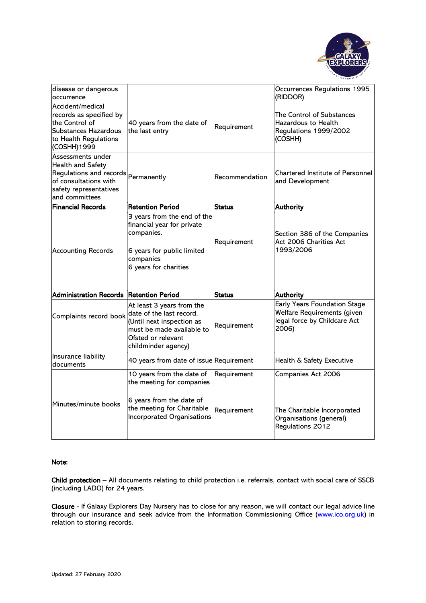

| disease or dangerous<br>occurrence                                                                                                                        |                                                                                                                                             |                | Occurrences Regulations 1995<br>(RIDDOR)                                                             |
|-----------------------------------------------------------------------------------------------------------------------------------------------------------|---------------------------------------------------------------------------------------------------------------------------------------------|----------------|------------------------------------------------------------------------------------------------------|
| Accident/medical<br>records as specified by<br>the Control of<br>Substances Hazardous<br>to Health Regulations<br>(COSHH)1999                             | 40 years from the date of<br>the last entry                                                                                                 | Requirement    | The Control of Substances<br>Hazardous to Health<br>Regulations 1999/2002<br>(COSHH)                 |
| Assessments under<br><b>Health and Safety</b><br>Regulations and records Permanently<br>of consultations with<br>safety representatives<br>and committees |                                                                                                                                             | Recommendation | <b>Chartered Institute of Personnel</b><br>and Development                                           |
| <b>Financial Records</b>                                                                                                                                  | <b>Retention Period</b>                                                                                                                     | <b>Status</b>  | Authority                                                                                            |
| <b>Accounting Records</b>                                                                                                                                 | 3 years from the end of the<br>financial year for private<br>companies.<br>6 years for public limited<br>companies<br>6 years for charities | Requirement    | Section 386 of the Companies<br>Act 2006 Charities Act<br>1993/2006                                  |
| Administration Records Retention Period                                                                                                                   |                                                                                                                                             | Status         | Authority                                                                                            |
| Complaints record book date of the last record.                                                                                                           | At least 3 years from the<br>(Until next inspection as<br>must be made available to<br>Ofsted or relevant<br>childminder agency)            | Requirement    | Early Years Foundation Stage<br>Welfare Requirements (given<br>legal force by Childcare Act<br>2006) |
| Insurance liability<br>documents                                                                                                                          | 40 years from date of issue Requirement                                                                                                     |                | Health & Safety Executive                                                                            |
| Minutes/minute books                                                                                                                                      | 10 years from the date of<br>the meeting for companies<br>6 years from the date of<br>the meeting for Charitable                            | Requirement    | Companies Act 2006                                                                                   |
|                                                                                                                                                           | Incorporated Organisations                                                                                                                  | Requirement    | The Charitable Incorporated<br>Organisations (general)<br>Regulations 2012                           |

## Note:

Child protection – All documents relating to child protection i.e. referrals, contact with social care of SSCB (including LADO) for 24 years.

Closure - If Galaxy Explorers Day Nursery has to close for any reason, we will contact our legal advice line through our insurance and seek advice from the Information Commissioning Office (www.ico.org.uk) in relation to storing records.